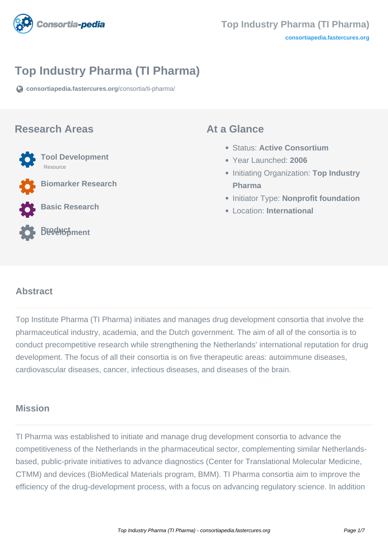

# **Top Industry Pharma (TI Pharma)**

**[consortiapedia.fastercures.org](https://consortiapedia.fastercures.org/consortia/ti-pharma/)**[/consortia/ti-pharma/](https://consortiapedia.fastercures.org/consortia/ti-pharma/)

#### **Research Areas**



**Basic Research**



#### **At a Glance**

- Status: **Active Consortium**
- Year Launched: **2006**
- **Initiating Organization: Top Industry Pharma**
- **Initiator Type: Nonprofit foundation**
- Location: **International**

#### $\overline{a}$ **Abstract**

Top Institute Pharma (TI Pharma) initiates and manages drug development consortia that involve the pharmaceutical industry, academia, and the Dutch government. The aim of all of the consortia is to conduct precompetitive research while strengthening the Netherlands' international reputation for drug development. The focus of all their consortia is on five therapeutic areas: autoimmune diseases, cardiovascular diseases, cancer, infectious diseases, and diseases of the brain.

#### **Mission**

TI Pharma was established to initiate and manage drug development consortia to advance the competitiveness of the Netherlands in the pharmaceutical sector, complementing similar Netherlandsbased, public-private initiatives to advance diagnostics (Center for Translational Molecular Medicine, CTMM) and devices (BioMedical Materials program, BMM). TI Pharma consortia aim to improve the efficiency of the drug-development process, with a focus on advancing regulatory science. In addition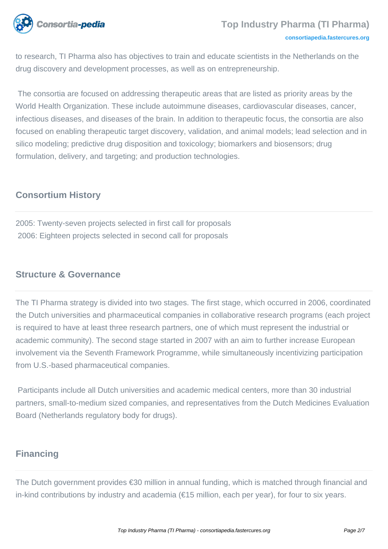

to research, TI Pharma also has objectives to train and educate scientists in the Netherlands on the drug discovery and development processes, as well as on entrepreneurship.

 The consortia are focused on addressing therapeutic areas that are listed as priority areas by the World Health Organization. These include autoimmune diseases, cardiovascular diseases, cancer, infectious diseases, and diseases of the brain. In addition to therapeutic focus, the consortia are also focused on enabling therapeutic target discovery, validation, and animal models; lead selection and in silico modeling; predictive drug disposition and toxicology; biomarkers and biosensors; drug formulation, delivery, and targeting; and production technologies.

### **Consortium History**

2005: Twenty-seven projects selected in first call for proposals 2006: Eighteen projects selected in second call for proposals

#### **Structure & Governance**

The TI Pharma strategy is divided into two stages. The first stage, which occurred in 2006, coordinated the Dutch universities and pharmaceutical companies in collaborative research programs (each project is required to have at least three research partners, one of which must represent the industrial or academic community). The second stage started in 2007 with an aim to further increase European involvement via the Seventh Framework Programme, while simultaneously incentivizing participation from U.S.-based pharmaceutical companies.

 Participants include all Dutch universities and academic medical centers, more than 30 industrial partners, small-to-medium sized companies, and representatives from the Dutch Medicines Evaluation Board (Netherlands regulatory body for drugs).

#### **Financing**

The Dutch government provides €30 million in annual funding, which is matched through financial and in-kind contributions by industry and academia (€15 million, each per year), for four to six years.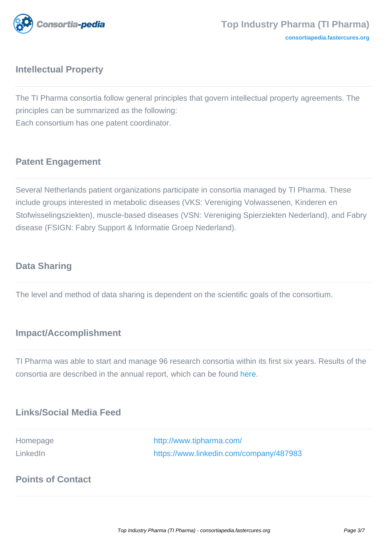

### **Intellectual Property**

The TI Pharma consortia follow general principles that govern intellectual property agreements. The principles can be summarized as the following: Each consortium has one patent coordinator.

## **Patent Engagement**

Several Netherlands patient organizations participate in consortia managed by TI Pharma. These include groups interested in metabolic diseases (VKS: Vereniging Volwassenen, Kinderen en Stofwisselingsziekten), muscle-based diseases (VSN: Vereniging Spierziekten Nederland), and Fabry disease (FSIGN: Fabry Support & Informatie Groep Nederland).

#### **Data Sharing**

The level and method of data sharing is dependent on the scientific goals of the consortium.

#### **Impact/Accomplishment**

TI Pharma was able to start and manage 96 research consortia within its first six years. Results of the consortia are described in the annual report, which can be found [here.](http://www.tipharma.com/fileadmin/user_upload/Documenten/News/Annual_reports/TI_Pharma_Report_DIGITAL.pdf)

#### **Links/Social Media Feed**

Homepage <http://www.tipharma.com/> LinkedIn <https://www.linkedin.com/company/487983>

### **Points of Contact**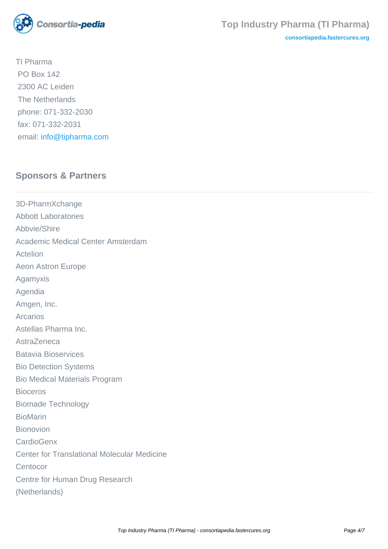

**[consortiapedia.fastercures.org](http://consortiapedia.fastercures.org/)**

TI Pharma PO Box 142 2300 AC Leiden The Netherlands phone: 071-332-2030 fax: 071-332-2031 email: [info@tipharma.com](mailto:info@tipharma.com)

# **Sponsors & Partners**

3D-PharmXchange Abbott Laboratories Abbvie/Shire Academic Medical Center Amsterdam Actelion Aeon Astron Europe Agamyxis Agendia Amgen, Inc. Arcarios Astellas Pharma Inc. AstraZeneca Batavia Bioservices Bio Detection Systems Bio Medical Materials Program Bioceros Biomade Technology BioMarin Bionovion **CardioGenx** Center for Translational Molecular Medicine **Centocor** Centre for Human Drug Research (Netherlands)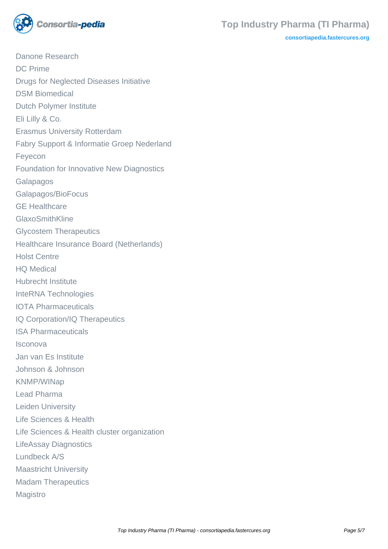

**[consortiapedia.fastercures.org](http://consortiapedia.fastercures.org/)**

Danone Research DC Prime Drugs for Neglected Diseases Initiative DSM Biomedical Dutch Polymer Institute Eli Lilly & Co. Erasmus University Rotterdam Fabry Support & Informatie Groep Nederland Feyecon Foundation for Innovative New Diagnostics Galapagos Galapagos/BioFocus GE Healthcare GlaxoSmithKline Glycostem Therapeutics Healthcare Insurance Board (Netherlands) Holst Centre HQ Medical Hubrecht Institute InteRNA Technologies IOTA Pharmaceuticals IQ Corporation/IQ Therapeutics ISA Pharmaceuticals Isconova Jan van Es Institute Johnson & Johnson KNMP/WINap Lead Pharma Leiden University Life Sciences & Health Life Sciences & Health cluster organization LifeAssay Diagnostics Lundbeck A/S Maastricht University Madam Therapeutics Magistro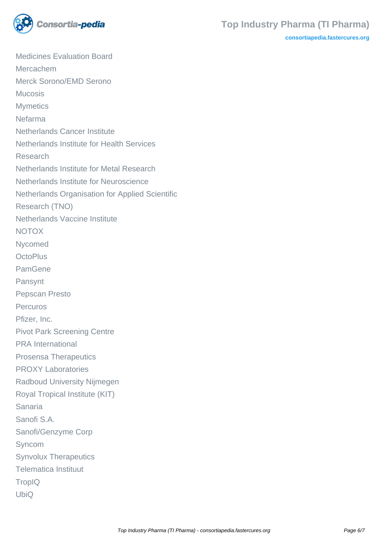

#### **Top Industry Pharma (TI Pharma)**

**[consortiapedia.fastercures.org](http://consortiapedia.fastercures.org/)**

Medicines Evaluation Board Mercachem Merck Sorono/EMD Serono Mucosis **Mymetics** Nefarma Netherlands Cancer Institute Netherlands Institute for Health Services Research Netherlands Institute for Metal Research Netherlands Institute for Neuroscience Netherlands Organisation for Applied Scientific Research (TNO) Netherlands Vaccine Institute NOTOX Nycomed **OctoPlus** PamGene Pansynt Pepscan Presto Percuros Pfizer, Inc. Pivot Park Screening Centre PRA International Prosensa Therapeutics PROXY Laboratories Radboud University Nijmegen Royal Tropical Institute (KIT) Sanaria Sanofi S.A. Sanofi/Genzyme Corp Syncom Synvolux Therapeutics Telematica Instituut **TropIQ** UbiQ